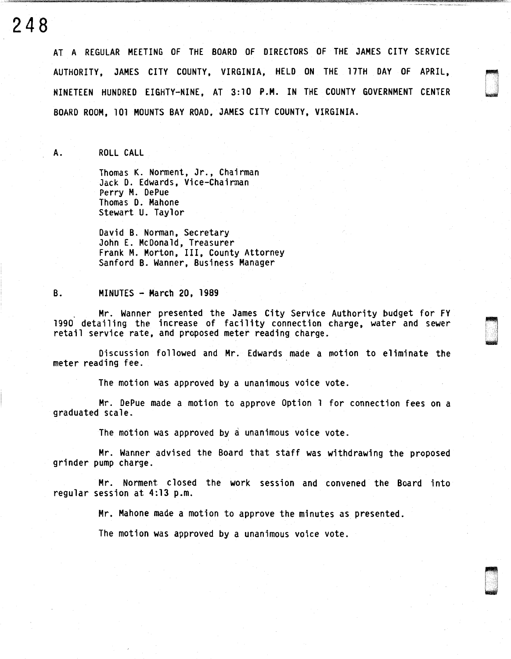**248** 

AT A REGULAR MEETING OF THE BOARD OF DIRECTORS OF THE JAMES CITY SERVICE AUTHORITY, JAMES CITY COUNTY, VIRGINIA, HELD ON THE 17TH DAY OF APRIL, NINETEEN HUNDRED EIGHTY-NINE, AT 3:10 P.M. IN THE COUNTY GOVERNMENT CENTER BOARD ROOM, 101 MOUNTS BAY ROAD, JAMES CITY COUNTY, VIRGINIA.

I j

A. ROLL CALL

Thomas K. Norment, Jr., Chairman Jack D. Edwards, Vice-Chairman Perry M. DePue Thomas D. Mahone Stewart U. Taylor

David B. Norman, Secretary John E. McDonald, Treasurer Frank M. Morton, III, County Attorney Sanford B. Wanner, Business Manager

## B. MINUTES - March 20, 1989

Mr. Wanner presented the James City Service Authority budget for FY 1990 detailing the increase of facility connection charge, water and sewer retail service rate, and proposed meter reading charge.

Discussion followed and Mr. Edwards made a motion to eliminate the meter reading fee.

The motion was approved by a unanimous voice vote.

Mr. DePue made a motion to approve Option 1 for connection fees on a graduated scale.

The motion was approved by a unanimous voice vote.

Mr. Wanner advised the Board that staff was withdrawing the proposed grinder pump charge.

Mr. Norment closed the work session and convened the Board into regular session at 4:13 p.m.

Mr. Mahone made a motion to approve the minutes as presented.

The motion was approved by a unanimous voice vote.